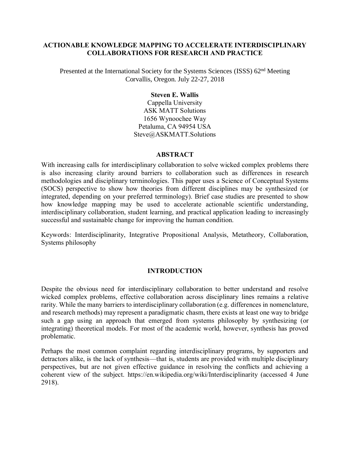#### **ACTIONABLE KNOWLEDGE MAPPING TO ACCELERATE INTERDISCIPLINARY COLLABORATIONS FOR RESEARCH AND PRACTICE**

Presented at the International Society for the Systems Sciences (ISSS) 62nd Meeting Corvallis, Oregon. July 22-27, 2018

#### **Steven E. Wallis**

Cappella University ASK MATT Solutions 1656 Wynoochee Way Petaluma, CA 94954 USA [Steve@ASKMATT.Solutions](mailto:Steve@ASKMATT.Solutions)

#### **ABSTRACT**

With increasing calls for interdisciplinary collaboration to solve wicked complex problems there is also increasing clarity around barriers to collaboration such as differences in research methodologies and disciplinary terminologies. This paper uses a Science of Conceptual Systems (SOCS) perspective to show how theories from different disciplines may be synthesized (or integrated, depending on your preferred terminology). Brief case studies are presented to show how knowledge mapping may be used to accelerate actionable scientific understanding, interdisciplinary collaboration, student learning, and practical application leading to increasingly successful and sustainable change for improving the human condition.

Keywords: Interdisciplinarity, Integrative Propositional Analysis, Metatheory, Collaboration, Systems philosophy

#### **INTRODUCTION**

Despite the obvious need for interdisciplinary collaboration to better understand and resolve wicked complex problems, effective collaboration across disciplinary lines remains a relative rarity. While the many barriers to interdisciplinary collaboration (e.g. differences in nomenclature, and research methods) may represent a paradigmatic chasm, there exists at least one way to bridge such a gap using an approach that emerged from systems philosophy by synthesizing (or integrating) theoretical models. For most of the academic world, however, synthesis has proved problematic.

Perhaps the most common complaint regarding interdisciplinary programs, by supporters and detractors alike, is the lack of synthesis—that is, students are provided with multiple disciplinary perspectives, but are not given effective guidance in resolving the conflicts and achieving a coherent view of the subject. <https://en.wikipedia.org/wiki/Interdisciplinarity> (accessed 4 June 2918).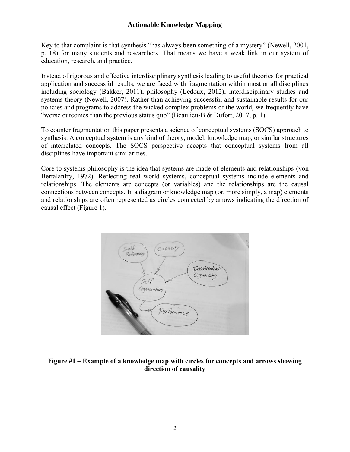Key to that complaint is that synthesis "has always been something of a mystery" (Newell, 2001, p. 18) for many students and researchers. That means we have a weak link in our system of education, research, and practice.

Instead of rigorous and effective interdisciplinary synthesis leading to useful theories for practical application and successful results, we are faced with fragmentation within most or all disciplines including sociology (Bakker, 2011), philosophy (Ledoux, 2012), interdisciplinary studies and systems theory (Newell, 2007). Rather than achieving successful and sustainable results for our policies and programs to address the wicked complex problems of the world, we frequently have "worse outcomes than the previous status quo" (Beaulieu-B & Dufort, 2017, p. 1).

To counter fragmentation this paper presents a science of conceptual systems (SOCS) approach to synthesis. A conceptual system is any kind of theory, model, knowledge map, or similar structures of interrelated concepts. The SOCS perspective accepts that conceptual systems from all disciplines have important similarities.

Core to systems philosophy is the idea that systems are made of elements and relationships (von Bertalanffy, 1972). Reflecting real world systems, conceptual systems include elements and relationships. The elements are concepts (or variables) and the relationships are the causal connections between concepts. In a diagram or knowledge map (or, more simply, a map) elements and relationships are often represented as circles connected by arrows indicating the direction of causal effect (Figure 1).



#### **Figure #1 – Example of a knowledge map with circles for concepts and arrows showing direction of causality**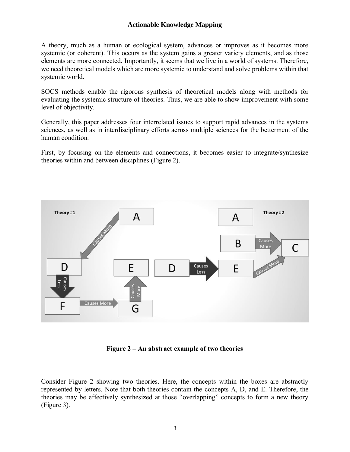A theory, much as a human or ecological system, advances or improves as it becomes more systemic (or coherent). This occurs as the system gains a greater variety elements, and as those elements are more connected. Importantly, it seems that we live in a world of systems. Therefore, we need theoretical models which are more systemic to understand and solve problems within that systemic world.

SOCS methods enable the rigorous synthesis of theoretical models along with methods for evaluating the systemic structure of theories. Thus, we are able to show improvement with some level of objectivity.

Generally, this paper addresses four interrelated issues to support rapid advances in the systems sciences, as well as in interdisciplinary efforts across multiple sciences for the betterment of the human condition.

First, by focusing on the elements and connections, it becomes easier to integrate/synthesize theories within and between disciplines (Figure 2).



**Figure 2 – An abstract example of two theories**

Consider Figure 2 showing two theories. Here, the concepts within the boxes are abstractly represented by letters. Note that both theories contain the concepts A, D, and E. Therefore, the theories may be effectively synthesized at those "overlapping" concepts to form a new theory (Figure 3).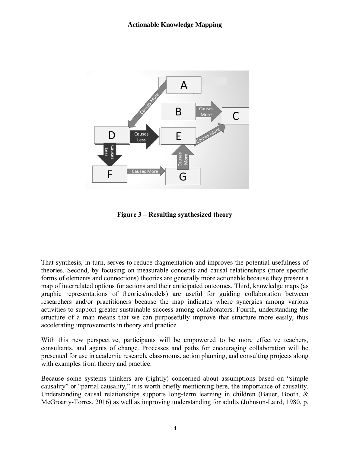

**Figure 3 – Resulting synthesized theory**

That synthesis, in turn, serves to reduce fragmentation and improves the potential usefulness of theories. Second, by focusing on measurable concepts and causal relationships (more specific forms of elements and connections) theories are generally more actionable because they present a map of interrelated options for actions and their anticipated outcomes. Third, knowledge maps (as graphic representations of theories/models) are useful for guiding collaboration between researchers and/or practitioners because the map indicates where synergies among various activities to support greater sustainable success among collaborators. Fourth, understanding the structure of a map means that we can purposefully improve that structure more easily, thus accelerating improvements in theory and practice.

With this new perspective, participants will be empowered to be more effective teachers, consultants, and agents of change. Processes and paths for encouraging collaboration will be presented for use in academic research, classrooms, action planning, and consulting projects along with examples from theory and practice.

Because some systems thinkers are (rightly) concerned about assumptions based on "simple causality" or "partial causality," it is worth briefly mentioning here, the importance of causality. Understanding causal relationships supports long-term learning in children (Bauer, Booth,  $\&$ McGroarty-Torres, 2016) as well as improving understanding for adults (Johnson-Laird, 1980, p.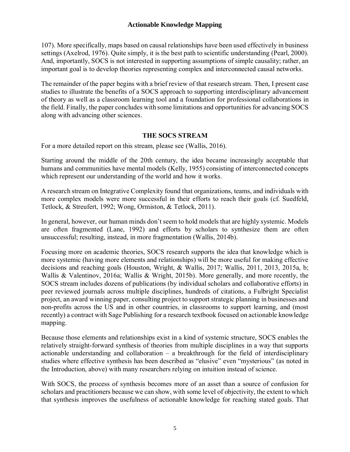107). More specifically, maps based on causal relationships have been used effectively in business settings (Axelrod, 1976). Quite simply, it is the best path to scientific understanding (Pearl, 2000). And, importantly, SOCS is not interested in supporting assumptions of simple causality; rather, an important goal is to develop theories representing complex and interconnected causal networks.

The remainder of the paper begins with a brief review of that research stream. Then, I present case studies to illustrate the benefits of a SOCS approach to supporting interdisciplinary advancement of theory as well as a classroom learning tool and a foundation for professional collaborations in the field. Finally, the paper concludes with some limitations and opportunities for advancing SOCS along with advancing other sciences.

#### **THE SOCS STREAM**

For a more detailed report on this stream, please see (Wallis, 2016).

Starting around the middle of the 20th century, the idea became increasingly acceptable that humans and communities have mental models (Kelly, 1955) consisting of interconnected concepts which represent our understanding of the world and how it works.

A research stream on Integrative Complexity found that organizations, teams, and individuals with more complex models were more successful in their efforts to reach their goals (cf. Suedfeld, Tetlock, & Streufert, 1992; Wong, Ormiston, & Tetlock, 2011).

In general, however, our human minds don't seem to hold models that are highly systemic. Models are often fragmented (Lane, 1992) and efforts by scholars to synthesize them are often unsuccessful; resulting, instead, in more fragmentation (Wallis, 2014b).

Focusing more on academic theories, SOCS research supports the idea that knowledge which is more systemic (having more elements and relationships) will be more useful for making effective decisions and reaching goals (Houston, Wright, & Wallis, 2017; Wallis, 2011, 2013, 2015a, b; Wallis & Valentinov, 2016a; Wallis & Wright, 2015b). More generally, and more recently, the SOCS stream includes dozens of publications (by individual scholars and collaborative efforts) in peer reviewed journals across multiple disciplines, hundreds of citations, a Fulbright Specialist project, an award winning paper, consulting project to support strategic planning in businesses and non-profits across the US and in other countries, in classrooms to support learning, and (most recently) a contract with Sage Publishing for a research textbook focused on actionable knowledge mapping.

Because those elements and relationships exist in a kind of systemic structure, SOCS enables the relatively straight-forward synthesis of theories from multiple disciplines in a way that supports actionable understanding and collaboration – a breakthrough for the field of interdisciplinary studies where effective synthesis has been described as "elusive" even "mysterious" (as noted in the Introduction, above) with many researchers relying on intuition instead of science.

With SOCS, the process of synthesis becomes more of an asset than a source of confusion for scholars and practitioners because we can show, with some level of objectivity, the extent to which that synthesis improves the usefulness of actionable knowledge for reaching stated goals. That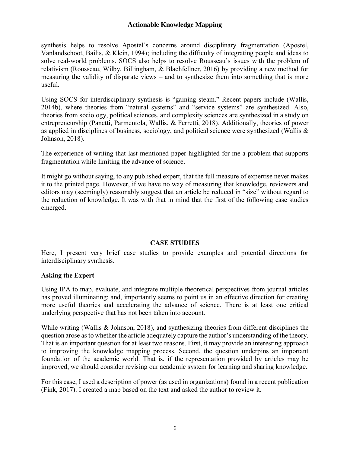synthesis helps to resolve Apostel's concerns around disciplinary fragmentation (Apostel, Vanlandschoot, Bailis, & Klein, 1994); including the difficulty of integrating people and ideas to solve real-world problems. SOCS also helps to resolve Rousseau's issues with the problem of relativism (Rousseau, Wilby, Billingham, & Blachfellner, 2016) by providing a new method for measuring the validity of disparate views – and to synthesize them into something that is more useful.

Using SOCS for interdisciplinary synthesis is "gaining steam." Recent papers include (Wallis, 2014b), where theories from "natural systems" and "service systems" are synthesized. Also, theories from sociology, political sciences, and complexity sciences are synthesized in a study on entrepreneurship (Panetti, Parmentola, Wallis, & Ferretti, 2018). Additionally, theories of power as applied in disciplines of business, sociology, and political science were synthesized (Wallis & Johnson, 2018).

The experience of writing that last-mentioned paper highlighted for me a problem that supports fragmentation while limiting the advance of science.

It might go without saying, to any published expert, that the full measure of expertise never makes it to the printed page. However, if we have no way of measuring that knowledge, reviewers and editors may (seemingly) reasonably suggest that an article be reduced in "size" without regard to the reduction of knowledge. It was with that in mind that the first of the following case studies emerged.

## **CASE STUDIES**

Here, I present very brief case studies to provide examples and potential directions for interdisciplinary synthesis.

## **Asking the Expert**

Using IPA to map, evaluate, and integrate multiple theoretical perspectives from journal articles has proved illuminating; and, importantly seems to point us in an effective direction for creating more useful theories and accelerating the advance of science. There is at least one critical underlying perspective that has not been taken into account.

While writing (Wallis & Johnson, 2018), and synthesizing theories from different disciplines the question arose as to whether the article adequately capture the author's understanding of the theory. That is an important question for at least two reasons. First, it may provide an interesting approach to improving the knowledge mapping process. Second, the question underpins an important foundation of the academic world. That is, if the representation provided by articles may be improved, we should consider revising our academic system for learning and sharing knowledge.

For this case, I used a description of power (as used in organizations) found in a recent publication (Fink, 2017). I created a map based on the text and asked the author to review it.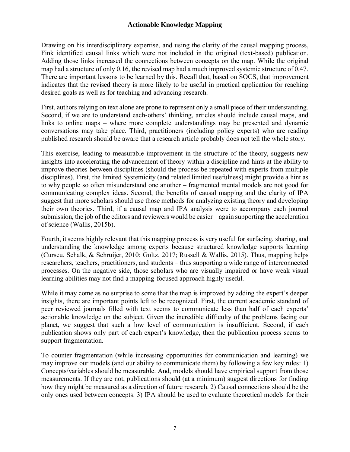Drawing on his interdisciplinary expertise, and using the clarity of the causal mapping process, Fink identified causal links which were not included in the original (text-based) publication. Adding those links increased the connections between concepts on the map. While the original map had a structure of only 0.16, the revised map had a much improved systemic structure of 0.47. There are important lessons to be learned by this. Recall that, based on SOCS, that improvement indicates that the revised theory is more likely to be useful in practical application for reaching desired goals as well as for teaching and advancing research.

First, authors relying on text alone are prone to represent only a small piece of their understanding. Second, if we are to understand each-others' thinking, articles should include causal maps, and links to online maps – where more complete understandings may be presented and dynamic conversations may take place. Third, practitioners (including policy experts) who are reading published research should be aware that a research article probably does not tell the whole story.

This exercise, leading to measurable improvement in the structure of the theory, suggests new insights into accelerating the advancement of theory within a discipline and hints at the ability to improve theories between disciplines (should the process be repeated with experts from multiple disciplines). First, the limited Systemicity (and related limited usefulness) might provide a hint as to why people so often misunderstand one another – fragmented mental models are not good for communicating complex ideas. Second, the benefits of causal mapping and the clarity of IPA suggest that more scholars should use those methods for analyzing existing theory and developing their own theories. Third, if a causal map and IPA analysis were to accompany each journal submission, the job of the editors and reviewers would be easier – again supporting the acceleration of science (Wallis, 2015b).

Fourth, it seems highly relevant that this mapping process is very useful for surfacing, sharing, and understanding the knowledge among experts because structured knowledge supports learning (Curseu, Schalk, & Schruijer, 2010; Goltz, 2017; Russell & Wallis, 2015). Thus, mapping helps researchers, teachers, practitioners, and students – thus supporting a wide range of interconnected processes. On the negative side, those scholars who are visually impaired or have weak visual learning abilities may not find a mapping-focused approach highly useful.

While it may come as no surprise to some that the map is improved by adding the expert's deeper insights, there are important points left to be recognized. First, the current academic standard of peer reviewed journals filled with text seems to communicate less than half of each experts' actionable knowledge on the subject. Given the incredible difficulty of the problems facing our planet, we suggest that such a low level of communication is insufficient. Second, if each publication shows only part of each expert's knowledge, then the publication process seems to support fragmentation.

To counter fragmentation (while increasing opportunities for communication and learning) we may improve our models (and our ability to communicate them) by following a few key rules: 1) Concepts/variables should be measurable. And, models should have empirical support from those measurements. If they are not, publications should (at a minimum) suggest directions for finding how they might be measured as a direction of future research. 2) Causal connections should be the only ones used between concepts. 3) IPA should be used to evaluate theoretical models for their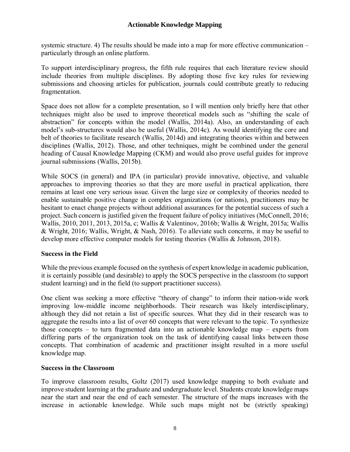systemic structure. 4) The results should be made into a map for more effective communication – particularly through an online platform.

To support interdisciplinary progress, the fifth rule requires that each literature review should include theories from multiple disciplines. By adopting those five key rules for reviewing submissions and choosing articles for publication, journals could contribute greatly to reducing fragmentation.

Space does not allow for a complete presentation, so I will mention only briefly here that other techniques might also be used to improve theoretical models such as "shifting the scale of abstraction" for concepts within the model (Wallis, 2014a). Also, an understanding of each model's sub-structures would also be useful (Wallis, 2014c). As would identifying the core and belt of theories to facilitate research (Wallis, 2014d) and integrating theories within and between disciplines (Wallis, 2012). Those, and other techniques, might be combined under the general heading of Causal Knowledge Mapping (CKM) and would also prove useful guides for improve journal submissions (Wallis, 2015b).

While SOCS (in general) and IPA (in particular) provide innovative, objective, and valuable approaches to improving theories so that they are more useful in practical application, there remains at least one very serious issue. Given the large size or complexity of theories needed to enable sustainable positive change in complex organizations (or nations), practitioners may be hesitant to enact change projects without additional assurances for the potential success of such a project. Such concern is justified given the frequent failure of policy initiatives (McConnell, 2016; Wallis, 2010, 2011, 2013, 2015a, c; Wallis & Valentinov, 2016b; Wallis & Wright, 2015a; Wallis & Wright, 2016; Wallis, Wright, & Nash, 2016). To alleviate such concerns, it may be useful to develop more effective computer models for testing theories (Wallis & Johnson, 2018).

## **Success in the Field**

While the previous example focused on the synthesis of expert knowledge in academic publication, it is certainly possible (and desirable) to apply the SOCS perspective in the classroom (to support student learning) and in the field (to support practitioner success).

One client was seeking a more effective "theory of change" to inform their nation-wide work improving low-middle income neighborhoods. Their research was likely interdisciplinary, although they did not retain a list of specific sources. What they did in their research was to aggregate the results into a list of over 60 concepts that were relevant to the topic. To synthesize those concepts – to turn fragmented data into an actionable knowledge map – experts from differing parts of the organization took on the task of identifying causal links between those concepts. That combination of academic and practitioner insight resulted in a more useful knowledge map.

## **Success in the Classroom**

To improve classroom results, Goltz (2017) used knowledge mapping to both evaluate and improve student learning at the graduate and undergraduate level. Students create knowledge maps near the start and near the end of each semester. The structure of the maps increases with the increase in actionable knowledge. While such maps might not be (strictly speaking)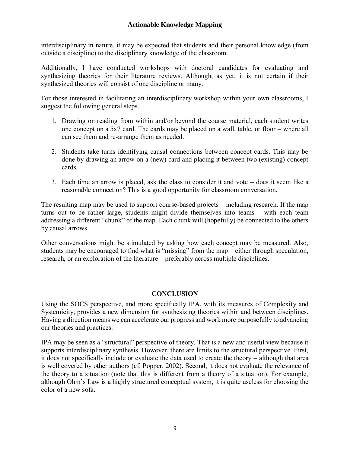interdisciplinary in nature, it may be expected that students add their personal knowledge (from outside a discipline) to the disciplinary knowledge of the classroom.

Additionally, I have conducted workshops with doctoral candidates for evaluating and synthesizing theories for their literature reviews. Although, as yet, it is not certain if their synthesized theories will consist of one discipline or many.

For those interested in facilitating an interdisciplinary workshop within your own classrooms, I suggest the following general steps.

- 1. Drawing on reading from within and/or beyond the course material, each student writes one concept on a 5x7 card. The cards may be placed on a wall, table, or floor – where all can see them and re-arrange them as needed.
- 2. Students take turns identifying causal connections between concept cards. This may be done by drawing an arrow on a (new) card and placing it between two (existing) concept cards.
- 3. Each time an arrow is placed, ask the class to consider it and vote does it seem like a reasonable connection? This is a good opportunity for classroom conversation.

The resulting map may be used to support course-based projects – including research. If the map turns out to be rather large, students might divide themselves into teams – with each team addressing a different "chunk" of the map. Each chunk will (hopefully) be connected to the others by causal arrows.

Other conversations might be stimulated by asking how each concept may be measured. Also, students may be encouraged to find what is "missing" from the map – either through speculation, research, or an exploration of the literature – preferably across multiple disciplines.

## **CONCLUSION**

Using the SOCS perspective, and more specifically IPA, with its measures of Complexity and Systemicity, provides a new dimension for synthesizing theories within and between disciplines. Having a direction means we can accelerate our progress and work more purposefully to advancing our theories and practices.

IPA may be seen as a "structural" perspective of theory. That is a new and useful view because it supports interdisciplinary synthesis. However, there are limits to the structural perspective. First, it does not specifically include or evaluate the data used to create the theory – although that area is well covered by other authors (cf. Popper, 2002). Second, it does not evaluate the relevance of the theory to a situation (note that this is different from a theory of a situation). For example, although Ohm's Law is a highly structured conceptual system, it is quite useless for choosing the color of a new sofa.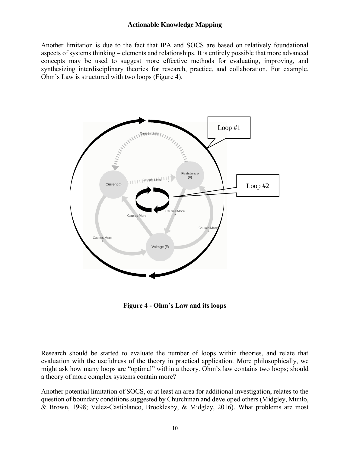Another limitation is due to the fact that IPA and SOCS are based on relatively foundational aspects of systems thinking – elements and relationships. It is entirely possible that more advanced concepts may be used to suggest more effective methods for evaluating, improving, and synthesizing interdisciplinary theories for research, practice, and collaboration. For example, Ohm's Law is structured with two loops (Figure 4).



**Figure 4 - Ohm's Law and its loops**

Research should be started to evaluate the number of loops within theories, and relate that evaluation with the usefulness of the theory in practical application. More philosophically, we might ask how many loops are "optimal" within a theory. Ohm's law contains two loops; should a theory of more complex systems contain more?

Another potential limitation of SOCS, or at least an area for additional investigation, relates to the question of boundary conditions suggested by Churchman and developed others (Midgley, Munlo, & Brown, 1998; Velez-Castiblanco, Brocklesby, & Midgley, 2016). What problems are most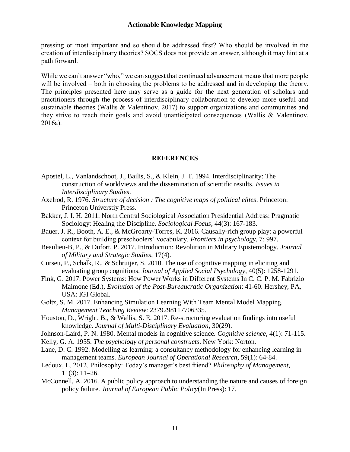pressing or most important and so should be addressed first? Who should be involved in the creation of interdisciplinary theories? SOCS does not provide an answer, although it may hint at a path forward.

While we can't answer "who," we can suggest that continued advancement means that more people will be involved – both in choosing the problems to be addressed and in developing the theory. The principles presented here may serve as a guide for the next generation of scholars and practitioners through the process of interdisciplinary collaboration to develop more useful and sustainable theories (Wallis & Valentinov, 2017) to support organizations and communities and they strive to reach their goals and avoid unanticipated consequences (Wallis & Valentinov, 2016a).

#### **REFERENCES**

- Apostel, L., Vanlandschoot, J., Bailis, S., & Klein, J. T. 1994. Interdisciplinarity: The construction of worldviews and the dissemination of scientific results. *Issues in Interdisciplinary Studies*.
- Axelrod, R. 1976. *Structure of decision : The cognitive maps of political elites*. Princeton: Princeton Universtiy Press.
- Bakker, J. I. H. 2011. North Central Sociological Association Presidential Address: Pragmatic Sociology: Healing the Discipline. *Sociological Focus*, 44(3): 167-183.
- Bauer, J. R., Booth, A. E., & McGroarty-Torres, K. 2016. Causally-rich group play: a powerful context for building preschoolers' vocabulary. *Frontiers in psychology*, 7: 997.
- Beaulieu-B, P., & Dufort, P. 2017. Introduction: Revolution in Military Epistemology. *Journal of Military and Strategic Studies*, 17(4).
- Curseu, P., Schalk, R., & Schruijer, S. 2010. The use of cognitive mapping in eliciting and evaluating group cognitions. *Journal of Applied Social Psychology*, 40(5): 1258-1291.
- Fink, G. 2017. Power Systems: How Power Works in Different Systems In C. C. P. M. Fabrizio Maimone (Ed.), *Evolution of the Post-Bureaucratic Organization*: 41-60. Hershey, PA, USA: IGI Global.
- Goltz, S. M. 2017. Enhancing Simulation Learning With Team Mental Model Mapping. *Management Teaching Review*: 2379298117706335.
- Houston, D., Wright, B., & Wallis, S. E. 2017. Re-structuring evaluation findings into useful knowledge. *Journal of Multi-Disciplinary Evaluation*, 30(29).
- Johnson-Laird, P. N. 1980. Mental models in cognitive science. *Cognitive science*, 4(1): 71-115.
- Kelly, G. A. 1955. *The psychology of personal constructs*. New York: Norton.
- Lane, D. C. 1992. Modelling as learning: a consultancy methodology for enhancing learning in management teams. *European Journal of Operational Research*, 59(1): 64-84.
- Ledoux, L. 2012. Philosophy: Today's manager's best friend? *Philosophy of Management*, 11(3): 11–26.
- McConnell, A. 2016. A public policy approach to understanding the nature and causes of foreign policy failure. *Journal of European Public Policy*(In Press): 17.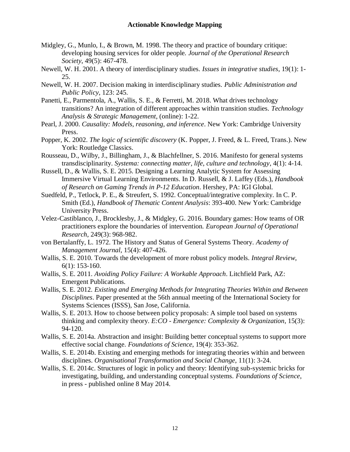- Midgley, G., Munlo, I., & Brown, M. 1998. The theory and practice of boundary critique: developing housing services for older people. *Journal of the Operational Research Society*, 49(5): 467-478.
- Newell, W. H. 2001. A theory of interdisciplinary studies. *Issues in integrative studies*, 19(1): 1- 25.
- Newell, W. H. 2007. Decision making in interdisciplinary studies. *Public Administration and Public Policy*, 123: 245.
- Panetti, E., Parmentola, A., Wallis, S. E., & Ferretti, M. 2018. What drives technology transitions? An integration of different approaches within transition studies. *Technology Analysis & Strategic Management*, (online): 1-22.
- Pearl, J. 2000. *Causality: Models, reasoning, and inference*. New York: Cambridge University Press.
- Popper, K. 2002. *The logic of scientific discovery* (K. Popper, J. Freed, & L. Freed, Trans.). New York: Routledge Classics.
- Rousseau, D., Wilby, J., Billingham, J., & Blachfellner, S. 2016. Manifesto for general systems transdisciplinarity. *Systema: connecting matter, life, culture and technology*, 4(1): 4-14.
- Russell, D., & Wallis, S. E. 2015. Designing a Learning Analytic System for Assessing Immersive Virtual Learning Environments. In D. Russell, & J. Laffey (Eds.), *Handbook of Research on Gaming Trends in P-12 Education*. Hershey, PA: IGI Global.
- Suedfeld, P., Tetlock, P. E., & Streufert, S. 1992. Conceptual/integrative complexity. In C. P. Smith (Ed.), *Handbook of Thematic Content Analysis*: 393-400. New York: Cambridge University Press.
- Velez-Castiblanco, J., Brocklesby, J., & Midgley, G. 2016. Boundary games: How teams of OR practitioners explore the boundaries of intervention. *European Journal of Operational Research*, 249(3): 968-982.
- von Bertalanffy, L. 1972. The History and Status of General Systems Theory. *Academy of Management Journal*, 15(4): 407-426.
- Wallis, S. E. 2010. Towards the development of more robust policy models. *Integral Review*, 6(1): 153-160.
- Wallis, S. E. 2011. *Avoiding Policy Failure: A Workable Approach*. Litchfield Park, AZ: Emergent Publications.
- Wallis, S. E. 2012. *Existing and Emerging Methods for Integrating Theories Within and Between Disciplines*. Paper presented at the 56th annual meeting of the International Society for Systems Sciences (ISSS), San Jose, California.
- Wallis, S. E. 2013. How to choose between policy proposals: A simple tool based on systems thinking and complexity theory. *E:CO - Emergence: Complexity & Organization*, 15(3): 94-120.
- Wallis, S. E. 2014a. Abstraction and insight: Building better conceptual systems to support more effective social change. *Foundations of Science*, 19(4): 353-362.
- Wallis, S. E. 2014b. Existing and emerging methods for integrating theories within and between disciplines. *Organisational Transformation and Social Change*, 11(1): 3-24.
- Wallis, S. E. 2014c. Structures of logic in policy and theory: Identifying sub-systemic bricks for investigating, building, and understanding conceptual systems. *Foundations of Science*, in press - published online 8 May 2014.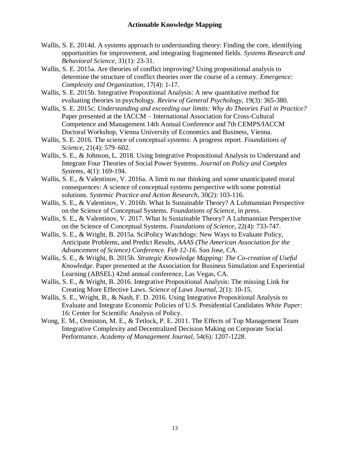- Wallis, S. E. 2014d. A systems approach to understanding theory: Finding the core, identifying opportunities for improvement, and integrating fragmented fields. *Systems Research and Behavioral Science*, 31(1): 23-31.
- Wallis, S. E. 2015a. Are theories of conflict improving? Using propositional analysis to determine the structure of conflict theories over the course of a century. *Emergence: Complexity and Organization*, 17(4): 1-17.
- Wallis, S. E. 2015b. Integrative Propositional Analysis: A new quantitative method for evaluating theories in psychology. *Review of General Psychology*, 19(3): 365-380.
- Wallis, S. E. 2015c. *Understanding and exceeding our limits: Why do Theories Fail in Practice?* Paper presented at the IACCM – International Association for Cross-Cultural Competence and Management 14th Annual Conference and 7th CEMPS/IACCM Doctoral Workshop, Vienna University of Economics and Business, Vienna.
- Wallis, S. E. 2016. The science of conceptual systems: A progress report. *Foundations of Science*, 21(4): 579–602.
- Wallis, S. E., & Johnson, L. 2018. Using Integrative Propositional Analysis to Understand and Integrate Four Theories of Social Power Systems. *Journal on Policy and Complex Systems*, 4(1): 169-194.
- Wallis, S. E., & Valentinov, V. 2016a. A limit to our thinking and some unanticipated moral consequences: A science of conceptual systems perspective with some potential solutions. *Systemic Practice and Action Research*, 30(2): 103-116.
- Wallis, S. E., & Valentinov, V. 2016b. What Is Sustainable Theory? A Luhmannian Perspective on the Science of Conceptual Systems. *Foundations of Science*, in press.
- Wallis, S. E., & Valentinov, V. 2017. What Is Sustainable Theory? A Luhmannian Perspective on the Science of Conceptual Systems. *Foundations of Science*, 22(4): 733-747.
- Wallis, S. E., & Wright, B. 2015a. SciPolicy Watchdogs: New Ways to Evaluate Policy, Anticipate Problems, and Predict Results, *AAAS (The American Association for the Advancement of Science) Conference. Feb 12-16*. San Jose, CA.
- Wallis, S. E., & Wright, B. 2015b. *Strategic Knowledge Mapping: The Co-creation of Useful Knowledge*. Paper presented at the Association for Business Simulation and Experiential Learning (ABSEL) 42nd annual conference, Las Vegas, CA.
- Wallis, S. E., & Wright, B. 2016. Integrative Propositional Analysis: The missing Link for Creating More Effective Laws. *Science of Laws Journal*, 2(1): 10-15.
- Wallis, S. E., Wright, B., & Nash, F. D. 2016. Using Integrative Propositional Analysis to Evaluate and Integrate Economic Policies of U.S. Presidential Candidates *White Paper*: 16: Center for Scientific Analysis of Policy.
- Wong, E. M., Ormiston, M. E., & Tetlock, P. E. 2011. The Effects of Top Management Team Integrative Complexity and Decentralized Decision Making on Corporate Social Performance. *Academy of Management Journal*, 54(6): 1207-1228.